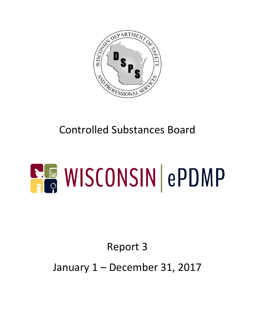

# Controlled Substances Board

# **ELE WISCONSIN ePDMP**

# Report 3

### January 1 – December 31, 2017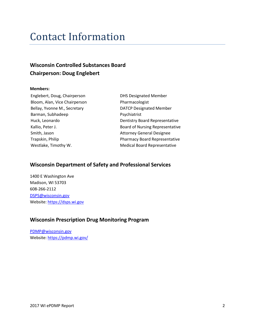### Contact Information

#### **Wisconsin Controlled Substances Board Chairperson: Doug Englebert**

#### **Members:**

Englebert, Doug, Chairperson DHS Designated Member Bloom, Alan, Vice Chairperson Pharmacologist Bellay, Yvonne M., Secretary **DATCP** Designated Member Barman, Subhadeep Psychiatrist Smith, Jason **Attorney General Designee** 

Huck, Leonardo **Dentistry Board Representative** Kallio, Peter J. **Kallio**, Peter J. **Board of Nursing Representative** Trapskin, Philip Pharmacy Board Representative Westlake, Timothy W. The Medical Board Representative

#### **Wisconsin Department of Safety and Professional Services**

1400 E Washington Ave Madison, WI 53703 608-266-2112 [DSPS@wisconsin.gov](mailto:DSPS@wisconsin.gov) Website[: https://dsps.wi.gov](https://dsps.wi.gov/)

#### **Wisconsin Prescription Drug Monitoring Program**

[PDMP@wisconsin.gov](mailto:PDMP@wisconsin.gov) Website[: https://pdmp.wi.gov/](https://pdmp.wi.gov/)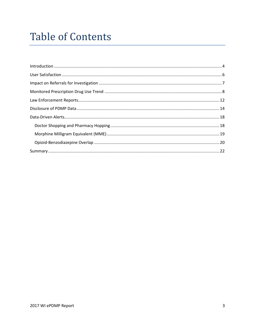## **Table of Contents**

| $\label{lem:1} \mbox{Introduction} \,\, \ldots \,\, \ldots \,\, \ldots \,\, \ldots \,\, \ldots \,\, \ldots \,\, \ldots \,\, \ldots \,\, \ldots \,\, \ldots \,\, \ldots \,\, \ldots \,\, \ldots \,\, \ldots \,\, \ldots \,\, \ldots \,\, \ldots \,\, \ldots \,\, \ldots \,\, \ldots \,\, \ldots \,\, \ldots \,\, \ldots \,\, \ldots \,\, \ldots \,\, \ldots \,\, \ldots \,\, \ldots \,\, \ldots \,\, \ldots \,\, \ldots \,\, \ldots \,\, \ldots \,\, \ldots \,\,$ |  |
|------------------------------------------------------------------------------------------------------------------------------------------------------------------------------------------------------------------------------------------------------------------------------------------------------------------------------------------------------------------------------------------------------------------------------------------------------------------|--|
|                                                                                                                                                                                                                                                                                                                                                                                                                                                                  |  |
|                                                                                                                                                                                                                                                                                                                                                                                                                                                                  |  |
|                                                                                                                                                                                                                                                                                                                                                                                                                                                                  |  |
|                                                                                                                                                                                                                                                                                                                                                                                                                                                                  |  |
|                                                                                                                                                                                                                                                                                                                                                                                                                                                                  |  |
|                                                                                                                                                                                                                                                                                                                                                                                                                                                                  |  |
|                                                                                                                                                                                                                                                                                                                                                                                                                                                                  |  |
|                                                                                                                                                                                                                                                                                                                                                                                                                                                                  |  |
|                                                                                                                                                                                                                                                                                                                                                                                                                                                                  |  |
|                                                                                                                                                                                                                                                                                                                                                                                                                                                                  |  |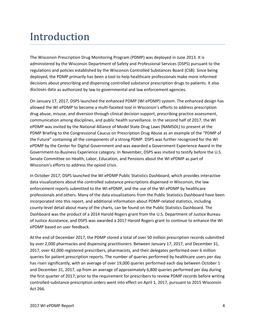### <span id="page-3-0"></span>Introduction

The Wisconsin Prescription Drug Monitoring Program (PDMP) was deployed in June 2013. It is administered by the Wisconsin Department of Safety and Professional Services (DSPS) pursuant to the regulations and policies established by the Wisconsin Controlled Substances Board (CSB). Since being deployed, the PDMP primarily has been a tool to help healthcare professionals make more informed decisions about prescribing and dispensing controlled substance prescription drugs to patients. It also discloses data as authorized by law to governmental and law enforcement agencies.

On January 17, 2017, DSPS launched the enhanced PDMP (WI ePDMP) system. The enhanced design has allowed the WI ePDMP to become a multi-faceted tool in Wisconsin's efforts to address prescription drug abuse, misuse, and diversion through clinical decision support, prescribing practice assessment, communication among disciplines, and public health surveillance. In the second half of 2017, the WI ePDMP was invited by the National Alliance of Model State Drug Laws (NAMSDL) to present at the PDMP Briefing to the Congressional Caucus on Prescription Drug Abuse as an example of the "PDMP of the Future" containing all the components of a strong PDMP. DSPS was further recognized for the WI ePDMP by the Center for Digital Government and was awarded a Government Experience Award in the Government-to-Business Experience category. In November, DSPS was invited to testify before the U.S. Senate Committee on Health, Labor, Education, and Pensions about the WI ePDMP as part of Wisconsin's efforts to address the opioid crisis.

In October 2017, DSPS launched the WI ePDMP Public Statistics Dashboard, which provides interactive data visualizations about the controlled substance prescriptions dispensed in Wisconsin, the law enforcement reports submitted to the WI ePDMP, and the use of the WI ePDMP by healthcare professionals and others. Many of the data visualizations from the Public Statistics Dashboard have been incorporated into this report, and additional information about PDMP-related statistics, including county-level detail about many of the charts, can be found on the Public Statistics Dashboard. The Dashboard was the product of a 2014 Harold Rogers grant from the U.S. Department of Justice Bureau of Justice Assistance, and DSPS was awarded a 2017 Harold Rogers grant to continue to enhance the WI ePDMP based on user feedback.

At the end of December 2017, the PDMP stored a total of over 50 million prescription records submitted by over 2,000 pharmacies and dispensing practitioners. Between January 17, 2017, and December 31, 2017, over 42,000 registered prescribers, pharmacists, and their delegates performed over 6 million queries for patient prescription reports. The number of queries performed by healthcare users per day has risen significantly, with an average of over 19,000 queries performed each day between October 1 and December 31, 2017, up from an average of approximately 6,800 queries performed per day during the first quarter of 2017, prior to the requirement for prescribers to review PDMP records before writing controlled-substance prescription orders went into effect on April 1, 2017, pursuant to 2015 Wisconsin Act 266.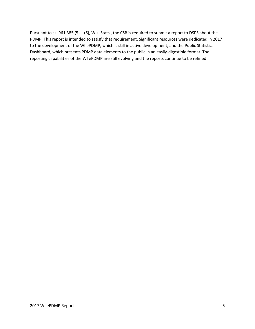Pursuant to ss. 961.385 (5) – (6), Wis. Stats., the CSB is required to submit a report to DSPS about the PDMP. This report is intended to satisfy that requirement. Significant resources were dedicated in 2017 to the development of the WI ePDMP, which is still in active development, and the Public Statistics Dashboard, which presents PDMP data elements to the public in an easily-digestible format. The reporting capabilities of the WI ePDMP are still evolving and the reports continue to be refined.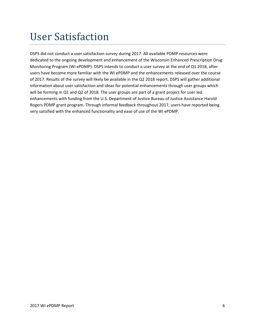### <span id="page-5-0"></span>User Satisfaction

DSPS did not conduct a user satisfaction survey during 2017. All available PDMP resources were dedicated to the ongoing development and enhancement of the Wisconsin Enhanced Prescription Drug Monitoring Program (WI ePDMP). DSPS intends to conduct a user survey at the end of Q1 2018, after users have become more familiar with the WI ePDMP and the enhancements released over the course of 2017. Results of the survey will likely be available in the Q2 2018 report. DSPS will gather additional information about user satisfaction and ideas for potential enhancements through user groups which will be forming in Q1 and Q2 of 2018. The user groups are part of a grant project for user-led enhancements with funding from the U.S. Department of Justice Bureau of Justice Assistance Harold Rogers PDMP grant program. Through informal feedback throughout 2017, users have reported being very satisfied with the enhanced functionality and ease of use of the WI ePDMP.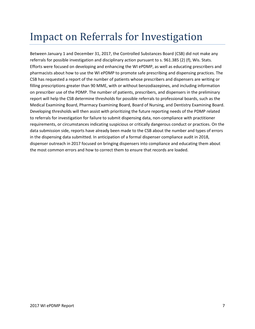### <span id="page-6-0"></span>Impact on Referrals for Investigation

Between January 1 and December 31, 2017, the Controlled Substances Board (CSB) did not make any referrals for possible investigation and disciplinary action pursuant to s. 961.385 (2) (f), Wis. Stats. Efforts were focused on developing and enhancing the WI ePDMP, as well as educating prescribers and pharmacists about how to use the WI ePDMP to promote safe prescribing and dispensing practices. The CSB has requested a report of the number of patients whose prescribers and dispensers are writing or filling prescriptions greater than 90 MME, with or without benzodiazepines, and including information on prescriber use of the PDMP. The number of patients, prescribers, and dispensers in the preliminary report will help the CSB determine thresholds for possible referrals to professional boards, such as the Medical Examining Board, Pharmacy Examining Board, Board of Nursing, and Dentistry Examining Board. Developing thresholds will then assist with prioritizing the future reporting needs of the PDMP related to referrals for investigation for failure to submit dispensing data, non-compliance with practitioner requirements, or circumstances indicating suspicious or critically dangerous conduct or practices. On the data submission side, reports have already been made to the CSB about the number and types of errors in the dispensing data submitted. In anticipation of a formal dispenser compliance audit in 2018, dispenser outreach in 2017 focused on bringing dispensers into compliance and educating them about the most common errors and how to correct them to ensure that records are loaded.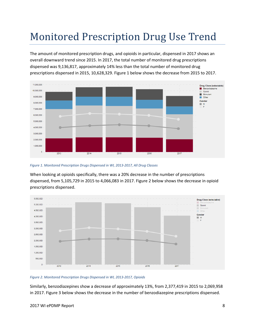# <span id="page-7-0"></span>Monitored Prescription Drug Use Trend

The amount of monitored prescription drugs, and opioids in particular, dispensed in 2017 shows an overall downward trend since 2015. In 2017, the total number of monitored drug prescriptions dispensed was 9,136,817, approximately 14% less than the total number of monitored drug prescriptions dispensed in 2015, 10,628,329. Figure 1 below shows the decrease from 2015 to 2017.



*Figure 1. Monitored Prescription Drugs Dispensed in WI, 2013-2017, All Drug Classes*

When looking at opioids specifically, there was a 20% decrease in the number of prescriptions dispensed, from 5,105,729 in 2015 to 4,066,083 in 2017. Figure 2 below shows the decrease in opioid prescriptions dispensed.



*Figure 2. Monitored Prescription Drugs Dispensed in WI, 2013-2017, Opioids*

Similarly, benzodiazepines show a decrease of approximately 13%, from 2,377,419 in 2015 to 2,069,958 in 2017. Figure 3 below shows the decrease in the number of benzodiazepine prescriptions dispensed.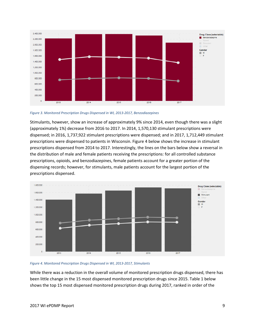

*Figure 3. Monitored Prescription Drugs Dispensed in WI, 2013-2017, Benzodiazepines*

Stimulants, however, show an increase of approximately 9% since 2014, even though there was a slight (approximately 1%) decrease from 2016 to 2017. In 2014, 1,570,130 stimulant prescriptions were dispensed; in 2016, 1,737,922 stimulant prescriptions were dispensed; and in 2017, 1,712,449 stimulant prescriptions were dispensed to patients in Wisconsin. Figure 4 below shows the increase in stimulant prescriptions dispensed from 2014 to 2017. Interestingly, the lines on the bars below show a reversal in the distribution of male and female patients receiving the prescriptions: for all controlled substance prescriptions, opioids, and benzodiazepines, female patients account for a greater portion of the dispensing records; however, for stimulants, male patients account for the largest portion of the prescriptions dispensed.





While there was a reduction in the overall volume of monitored prescription drugs dispensed, there has been little change in the 15 most dispensed monitored prescription drugs since 2015. Table 1 below shows the top 15 most dispensed monitored prescription drugs during 2017, ranked in order of the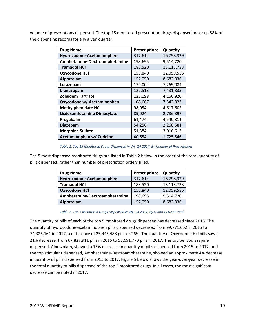volume of prescriptions dispensed. The top 15 monitored prescription drugs dispensed make up 88% of the dispensing records for any given quarter.

| <b>Drug Name</b>              | <b>Prescriptions</b> | Quantity   |
|-------------------------------|----------------------|------------|
| Hydrocodone-Acetaminophen     | 317,614              | 16,798,329 |
| Amphetamine-Dextroamphetamine | 198,695              | 9,514,720  |
| <b>Tramadol HCl</b>           | 183,520              | 13,113,733 |
| <b>Oxycodone HCI</b>          | 153,840              | 12,059,535 |
| Alprazolam                    | 152,050              | 8,682,036  |
| Lorazepam                     | 152,004              | 7,269,084  |
| Clonazepam                    | 127,513              | 7,481,833  |
| <b>Zolpidem Tartrate</b>      | 125,198              | 4,166,920  |
| Oxycodone w/ Acetaminophen    | 108,667              | 7,342,023  |
| <b>Methylphenidate HCI</b>    | 98,054               | 4,617,602  |
| Lisdexamfetamine Dimesylate   | 89,024               | 2,786,897  |
| Pregabalin                    | 61,474               | 4,540,811  |
| Diazepam                      | 54,256               | 2,268,581  |
| <b>Morphine Sulfate</b>       | 51,384               | 3,016,613  |
| Acetaminophen w/ Codeine      | 40,654               | 1,725,846  |

#### *Table 1. Top 15 Monitored Drugs Dispensed in WI, Q4 2017, By Number of Prescriptions*

The 5 most dispensed monitored drugs are listed in Table 2 below in the order of the total quantity of pills dispensed, rather than number of prescription orders filled.

| <b>Drug Name</b>              | <b>Prescriptions</b> | Quantity   |
|-------------------------------|----------------------|------------|
| Hydrocodone-Acetaminophen     | 317,614              | 16,798,329 |
| <b>Tramadol HCI</b>           | 183,520              | 13,113,733 |
| <b>Oxycodone HCI</b>          | 153,840              | 12,059,535 |
| Amphetamine-Dextroamphetamine | 198,695              | 9,514,720  |
| Alprazolam                    | 152,050              | 8,682,036  |

#### *Table 2. Top 5 Monitored Drugs Dispensed in WI, Q4 2017, by Quantity Dispensed*

The quantity of pills of each of the top 5 monitored drugs dispensed has decreased since 2015. The quantity of hydrocodone-acetaminophen pills dispensed decreased from 99,771,652 in 2015 to 74,326,164 in 2017, a difference of 25,445,488 pills or 26%. The quantity of Oxycodone Hcl pills saw a 21% decrease, from 67,827,911 pills in 2015 to 53,691,770 pills in 2017. The top benzodiazepine dispensed, Alprazolam, showed a 15% decrease in quantity of pills dispensed from 2015 to 2017, and the top stimulant dispensed, Amphetamine-Dextroamphetamine, showed an approximate 4% decrease in quantity of pills dispensed from 2015 to 2017. Figure 5 below shows the year-over-year decrease in the total quantity of pills dispensed of the top 5 monitored drugs. In all cases, the most significant decrease can be noted in 2017.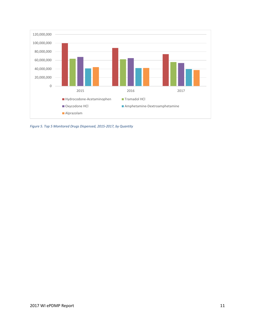

*Figure 5. Top 5 Monitored Drugs Dispensed, 2015-2017, by Quantity*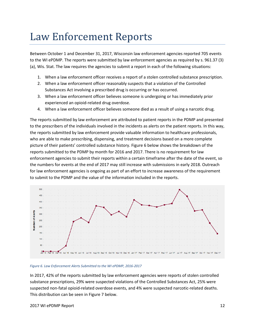### <span id="page-11-0"></span>Law Enforcement Reports

Between October 1 and December 31, 2017, Wisconsin law enforcement agencies reported 705 events to the WI ePDMP. The reports were submitted by law enforcement agencies as required by s[. 961.37 \(3\)](https://docs.legis.wisconsin.gov/document/statutes/961.37(3)(a))  [\(a\),](https://docs.legis.wisconsin.gov/document/statutes/961.37(3)(a)) Wis. Stat. The law requires the agencies to submit a report in each of the following situations:

- 1. When a law enforcement officer receives a report of a stolen controlled substance prescription.
- 2. When a law enforcement officer reasonably suspects that a violation of the Controlled Substances Act involving a prescribed drug is occurring or has occurred.
- 3. When a law enforcement officer believes someone is undergoing or has immediately prior experienced an opioid-related drug overdose.
- 4. When a law enforcement officer believes someone died as a result of using a narcotic drug.

The reports submitted by law enforcement are attributed to patient reports in the PDMP and presented to the prescribers of the individuals involved in the incidents as alerts on the patient reports. In this way, the reports submitted by law enforcement provide valuable information to healthcare professionals, who are able to make prescribing, dispensing, and treatment decisions based on a more complete picture of their patients' controlled substance history. Figure 6 below shows the breakdown of the reports submitted to the PDMP by month for 2016 and 2017. There is no requirement for law enforcement agencies to submit their reports within a certain timeframe after the date of the event, so the numbers for events at the end of 2017 may still increase with submissions in early 2018. Outreach for law enforcement agencies is ongoing as part of an effort to increase awareness of the requirement to submit to the PDMP and the value of the information included in the reports.



#### *Figure 6. Law Enforcement Alerts Submitted to the WI ePDMP, 2016-2017*

In 2017, 42% of the reports submitted by law enforcement agencies were reports of stolen controlled substance prescriptions, 29% were suspected violations of the Controlled Substances Act, 25% were suspected non-fatal opioid-related overdose events, and 4% were suspected narcotic-related deaths. This distribution can be seen in Figure 7 below.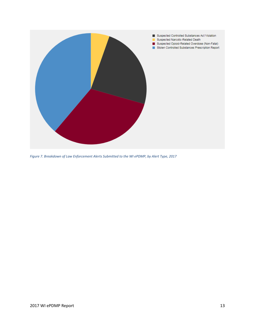

*Figure 7. Breakdown of Law Enforcement Alerts Submitted to the WI ePDMP, by Alert Type, 2017*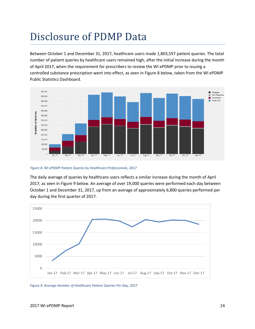### <span id="page-13-0"></span>Disclosure of PDMP Data

Between October 1 and December 31, 2017, healthcare users made 1,803,597 patient queries. The total number of patient queries by healthcare users remained high, after the initial increase during the month of April 2017, when the requirement for prescribers to review the WI ePDMP prior to issuing a controlled substance prescription went into effect, as seen in Figure 8 below, taken from the WI ePDMP Public Statistics Dashboard.



*Figure 8. WI ePDMP Patient Queries by Healthcare Professionals, 2017*

The daily average of queries by healthcare users reflects a similar increase during the month of April 2017, as seen in Figure 9 below. An average of over 19,000 queries were performed each day between October 1 and December 31, 2017, up from an average of approximately 6,800 queries performed per day during the first quarter of 2017.



*Figure 9. Average Number of Healthcare Patient Queries Per Day, 2017*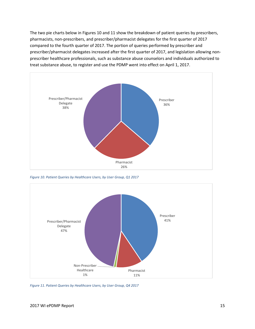The two pie charts below in Figures 10 and 11 show the breakdown of patient queries by prescribers, pharmacists, non-prescribers, and prescriber/pharmacist delegates for the first quarter of 2017 compared to the fourth quarter of 2017. The portion of queries performed by prescriber and prescriber/pharmacist delegates increased after the first quarter of 2017, and legislation allowing nonprescriber healthcare professionals, such as substance abuse counselors and individuals authorized to treat substance abuse, to register and use the PDMP went into effect on April 1, 2017.



*Figure 10. Patient Queries by Healthcare Users, by User Group, Q1 2017*



*Figure 11. Patient Queries by Healthcare Users, by User Group, Q4 2017*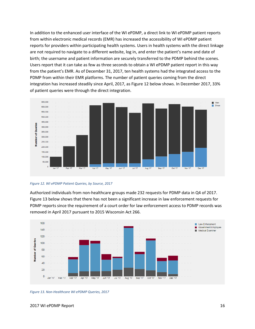In addition to the enhanced user interface of the WI ePDMP, a direct link to WI ePDMP patient reports from within electronic medical records (EMR) has increased the accessibility of WI ePDMP patient reports for providers within participating health systems. Users in health systems with the direct linkage are not required to navigate to a different website, log in, and enter the patient's name and date of birth; the username and patient information are securely transferred to the PDMP behind the scenes. Users report that it can take as few as three seconds to obtain a WI ePDMP patient report in this way from the patient's EMR. As of December 31, 2017, ten health systems had the integrated access to the PDMP from within their EMR platforms. The number of patient queries coming from the direct integration has increased steadily since April, 2017, as Figure 12 below shows. In December 2017, 33% of patient queries were through the direct integration.

![](_page_15_Figure_1.jpeg)

*Figure 12. WI ePDMP Patient Queries, by Source, 2017*

Authorized individuals from non-healthcare groups made 232 requests for PDMP data in Q4 of 2017. Figure 13 below shows that there has not been a significant increase in law enforcement requests for PDMP reports since the requirement of a court order for law enforcement access to PDMP records was removed in April 2017 pursuant to 2015 Wisconsin Act 266.

![](_page_15_Figure_4.jpeg)

*Figure 13. Non-Healthcare WI ePDMP Queries, 2017*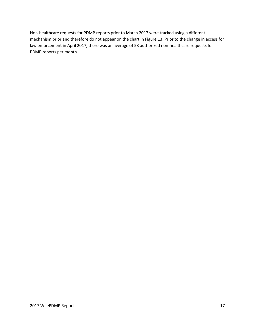Non-healthcare requests for PDMP reports prior to March 2017 were tracked using a different mechanism prior and therefore do not appear on the chart in Figure 13. Prior to the change in access for law enforcement in April 2017, there was an average of 58 authorized non-healthcare requests for PDMP reports per month.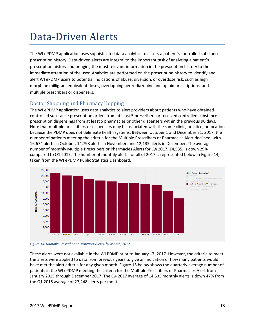### <span id="page-17-0"></span>Data-Driven Alerts

The WI ePDMP application uses sophisticated data analytics to assess a patient's controlled substance prescription history. Data-driven alerts are integral to the important task of analyzing a patient's prescription history and bringing the most relevant information in the prescription history to the immediate attention of the user. Analytics are performed on the prescription history to identify and alert WI ePDMP users to potential indications of abuse, diversion, or overdose risk, such as high morphine milligram equivalent doses, overlapping benzodiazepine and opioid prescriptions, and multiple prescribers or dispensers.

#### <span id="page-17-1"></span>Doctor Shopping and Pharmacy Hopping

The WI ePDMP application uses data analytics to alert providers about patients who have obtained controlled substance prescription orders from at least 5 prescribers or received controlled substance prescription dispensings from at least 5 pharmacies or other dispensers within the previous 90 days. Note that multiple prescribers or dispensers may be associated with the same clinic, practice, or location because the PDMP does not delineate health systems. Between October 1 and December 31, 2017, the number of patients meeting the criteria for the Multiple Prescribers or Pharmacies Alert declined, with 16,674 alerts in October, 14,798 alerts in November, and 12,135 alerts in December. The average number of monthly Multiple Prescribers or Pharmacies Alerts for Q4 2017, 14,535, is down 29% compared to Q1 2017. The number of monthly alerts for all of 2017 is represented below in Figure 14, taken from the WI ePDMP Public Statistics Dashboard.

![](_page_17_Figure_4.jpeg)

*Figure 14. Multiple Prescriber or Dispenser Alerts, by Month, 2017*

These alerts were not available in the WI PDMP prior to January 17, 2017. However, the criteria to meet the alerts were applied to data from previous years to give an indication of how many patients would have met the alert criteria for any given month. Figure 15 below shows the quarterly average number of patients in the WI ePDMP meeting the criteria for the Multiple Prescribers or Pharmacies Alert from January 2015 through December 2017. The Q4 2017 average of 14,535 monthly alerts is down 47% from the Q1 2015 average of 27,248 alerts per month.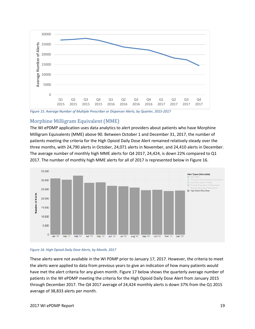![](_page_18_Figure_0.jpeg)

*Figure 15. Average Number of Multiple Prescriber or Dispenser Alerts, by Quarter, 2015-2017*

#### <span id="page-18-0"></span>Morphine Milligram Equivalent (MME)

The WI ePDMP application uses data analytics to alert providers about patients who have Morphine Milligram Equivalents (MME) above 90. Between October 1 and December 31, 2017, the number of patients meeting the criteria for the High Opioid Daily Dose Alert remained relatively steady over the three months, with 24,790 alerts in October, 24,071 alerts in November, and 24,410 alerts in December. The average number of monthly high MME alerts for Q4 2017, 24,424, is down 22% compared to Q1 2017. The number of monthly high MME alerts for all of 2017 is represented below in Figure 16.

![](_page_18_Figure_4.jpeg)

![](_page_18_Figure_5.jpeg)

These alerts were not available in the WI PDMP prior to January 17, 2017. However, the criteria to meet the alerts were applied to data from previous years to give an indication of how many patients would have met the alert criteria for any given month. Figure 17 below shows the quarterly average number of patients in the WI ePDMP meeting the criteria for the High Opioid Daily Dose Alert from January 2015 through December 2017. The Q4 2017 average of 24,424 monthly alerts is down 37% from the Q1 2015 average of 38,833 alerts per month.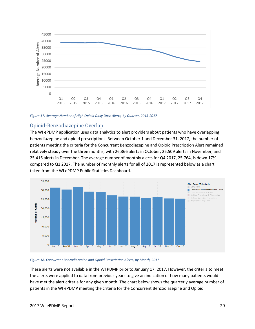![](_page_19_Figure_0.jpeg)

*Figure 17. Average Number of High Opioid Daily Dose Alerts, by Quarter, 2015-2017*

#### <span id="page-19-0"></span>Opioid-Benzodiazepine Overlap

The WI ePDMP application uses data analytics to alert providers about patients who have overlapping benzodiazepine and opioid prescriptions. Between October 1 and December 31, 2017, the number of patients meeting the criteria for the Concurrent Benzodiazepine and Opioid Prescription Alert remained relatively steady over the three months, with 26,366 alerts in October, 25,509 alerts in November, and 25,416 alerts in December. The average number of monthly alerts for Q4 2017, 25,764, is down 17% compared to Q1 2017. The number of monthly alerts for all of 2017 is represented below as a chart taken from the WI ePDMP Public Statistics Dashboard.

![](_page_19_Figure_4.jpeg)

#### *Figure 18. Concurrent Benzodiazepine and Opioid Prescription Alerts, by Month, 2017*

These alerts were not available in the WI PDMP prior to January 17, 2017. However, the criteria to meet the alerts were applied to data from previous years to give an indication of how many patients would have met the alert criteria for any given month. The chart below shows the quarterly average number of patients in the WI ePDMP meeting the criteria for the Concurrent Benzodiazepine and Opioid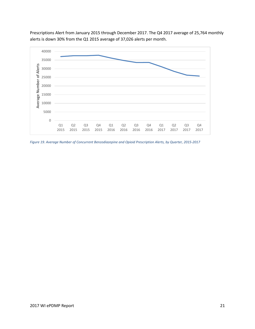![](_page_20_Figure_0.jpeg)

Prescriptions Alert from January 2015 through December 2017. The Q4 2017 average of 25,764 monthly alerts is down 30% from the Q1 2015 average of 37,026 alerts per month.

*Figure 19. Average Number of Concurrent Benzodiazepine and Opioid Prescription Alerts, by Quarter, 2015-2017*